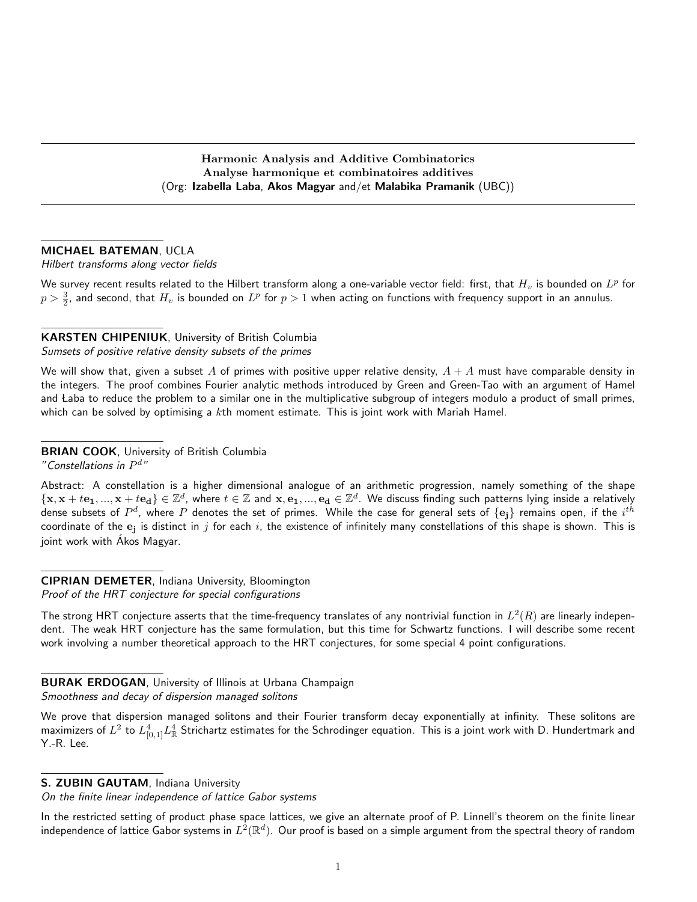Harmonic Analysis and Additive Combinatorics Analyse harmonique et combinatoires additives (Org: Izabella Laba, Akos Magyar and/et Malabika Pramanik (UBC))

#### MICHAEL BATEMAN, UCLA

#### Hilbert transforms along vector fields

We survey recent results related to the Hilbert transform along a one-variable vector field: first, that  $H_v$  is bounded on  $L^p$  for  $p>\frac{3}{2}$ , and second, that  $H_v$  is bounded on  $L^p$  for  $p>1$  when acting on functions with frequency support in an annulus.

# KARSTEN CHIPENIUK, University of British Columbia

Sumsets of positive relative density subsets of the primes

We will show that, given a subset A of primes with positive upper relative density,  $A + A$  must have comparable density in the integers. The proof combines Fourier analytic methods introduced by Green and Green-Tao with an argument of Hamel and Laba to reduce the problem to a similar one in the multiplicative subgroup of integers modulo a product of small primes, which can be solved by optimising a  $k$ th moment estimate. This is joint work with Mariah Hamel.

# **BRIAN COOK, University of British Columbia**

"Constellations in  $P^{d}$ "

Abstract: A constellation is a higher dimensional analogue of an arithmetic progression, namely something of the shape  $\{{\bf x},{\bf x}+t{\bf e_1},...,{\bf x}+t{\bf e_d}\}\in\mathbb{Z}^d$ , where  $t\in\mathbb{Z}$  and  ${\bf x},{\bf e_1},...,{\bf e_d}\in\mathbb{Z}^d$ . We discuss finding such patterns lying inside a relatively dense subsets of  $P^d$ , where  $P$  denotes the set of primes. While the case for general sets of  $\{{\bf e_j}\}$  remains open, if the  $i^{th}$ coordinate of the  ${\bf e_j}$  is distinct in  $j$  for each  $i$ , the existence of infinitely many constellations of this shape is shown. This is joint work with Akos Magyar.

#### CIPRIAN DEMETER, Indiana University, Bloomington Proof of the HRT conjecture for special configurations

The strong HRT conjecture asserts that the time-frequency translates of any nontrivial function in  $L^2(R)$  are linearly independent. The weak HRT conjecture has the same formulation, but this time for Schwartz functions. I will describe some recent work involving a number theoretical approach to the HRT conjectures, for some special 4 point configurations.

# BURAK ERDOGAN, University of Illinois at Urbana Champaign

Smoothness and decay of dispersion managed solitons

We prove that dispersion managed solitons and their Fourier transform decay exponentially at infinity. These solitons are maximizers of  $L^2$  to  $L^4_{[0,1]}L^4_{\mathbb R}$  Strichartz estimates for the Schrodinger equation. This is a joint work with D. Hundertmark and Y.-R. Lee.

#### S. ZUBIN GAUTAM, Indiana University

On the finite linear independence of lattice Gabor systems

In the restricted setting of product phase space lattices, we give an alternate proof of P. Linnell's theorem on the finite linear independence of lattice Gabor systems in  $L^2(\R^d)$ . Our proof is based on a simple argument from the spectral theory of random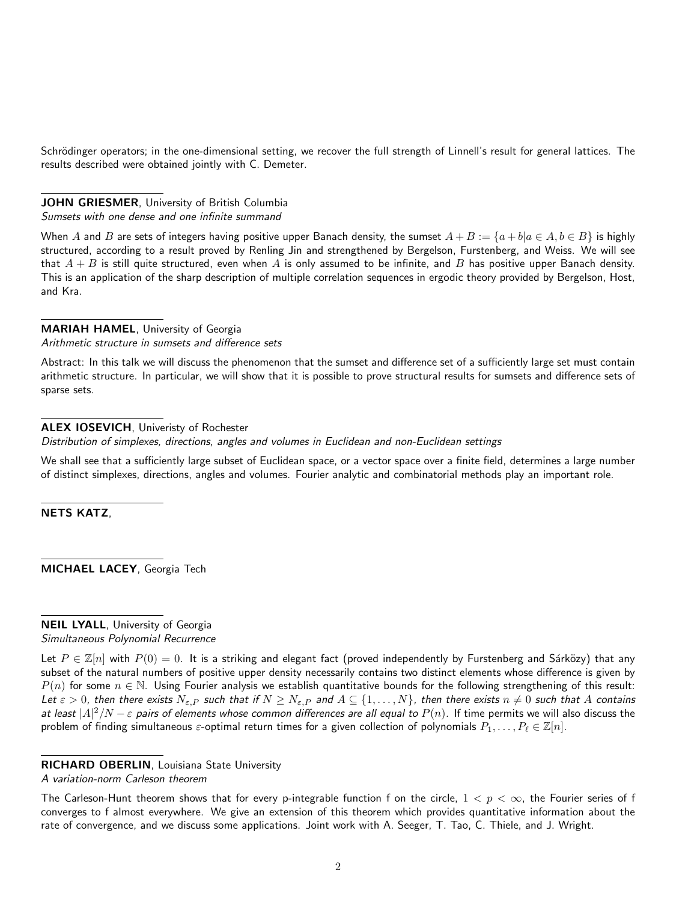Schrödinger operators; in the one-dimensional setting, we recover the full strength of Linnell's result for general lattices. The results described were obtained jointly with C. Demeter.

# JOHN GRIESMER, University of British Columbia

Sumsets with one dense and one infinite summand

When A and B are sets of integers having positive upper Banach density, the sumset  $A + B := \{a + b | a \in A, b \in B\}$  is highly structured, according to a result proved by Renling Jin and strengthened by Bergelson, Furstenberg, and Weiss. We will see that  $A + B$  is still quite structured, even when A is only assumed to be infinite, and B has positive upper Banach density. This is an application of the sharp description of multiple correlation sequences in ergodic theory provided by Bergelson, Host, and Kra.

# MARIAH HAMEL, University of Georgia

Arithmetic structure in sumsets and difference sets

Abstract: In this talk we will discuss the phenomenon that the sumset and difference set of a sufficiently large set must contain arithmetic structure. In particular, we will show that it is possible to prove structural results for sumsets and difference sets of sparse sets.

# ALEX IOSEVICH, Univeristy of Rochester

Distribution of simplexes, directions, angles and volumes in Euclidean and non-Euclidean settings

We shall see that a sufficiently large subset of Euclidean space, or a vector space over a finite field, determines a large number of distinct simplexes, directions, angles and volumes. Fourier analytic and combinatorial methods play an important role.

NETS KATZ,

MICHAEL LACEY, Georgia Tech

NEIL LYALL, University of Georgia Simultaneous Polynomial Recurrence

Let  $P \in \mathbb{Z}[n]$  with  $P(0) = 0$ . It is a striking and elegant fact (proved independently by Furstenberg and Sárközy) that any subset of the natural numbers of positive upper density necessarily contains two distinct elements whose difference is given by  $P(n)$  for some  $n \in \mathbb{N}$ . Using Fourier analysis we establish quantitative bounds for the following strengthening of this result: Let  $\varepsilon > 0$ , then there exists  $N_{\varepsilon,P}$  such that if  $N \ge N_{\varepsilon,P}$  and  $A \subseteq \{1,\ldots,N\}$ , then there exists  $n \ne 0$  such that A contains at least  $|A|^2/N-\varepsilon$  pairs of elements whose common differences are all equal to  $P(n)$ . If time permits we will also discuss the problem of finding simultaneous  $\varepsilon$ -optimal return times for a given collection of polynomials  $P_1, \ldots, P_\ell \in \mathbb{Z}[n]$ .

# RICHARD OBERLIN, Louisiana State University

A variation-norm Carleson theorem

The Carleson-Hunt theorem shows that for every p-integrable function f on the circle,  $1 < p < \infty$ , the Fourier series of f converges to f almost everywhere. We give an extension of this theorem which provides quantitative information about the rate of convergence, and we discuss some applications. Joint work with A. Seeger, T. Tao, C. Thiele, and J. Wright.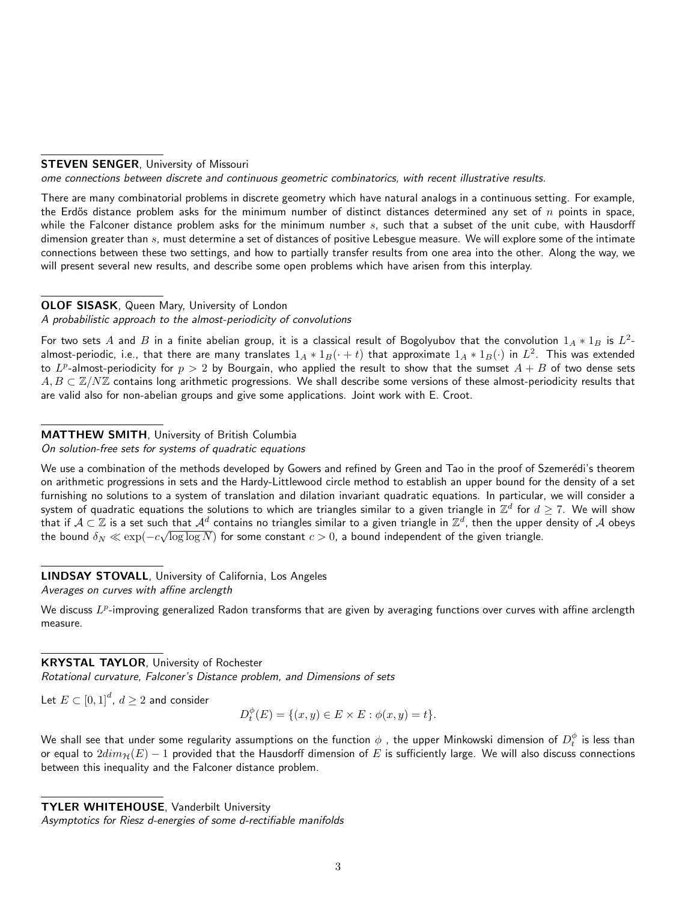#### **STEVEN SENGER, University of Missouri**

ome connections between discrete and continuous geometric combinatorics, with recent illustrative results.

There are many combinatorial problems in discrete geometry which have natural analogs in a continuous setting. For example, the Erdős distance problem asks for the minimum number of distinct distances determined any set of  $n$  points in space, while the Falconer distance problem asks for the minimum number  $s$ , such that a subset of the unit cube, with Hausdorff dimension greater than s, must determine a set of distances of positive Lebesgue measure. We will explore some of the intimate connections between these two settings, and how to partially transfer results from one area into the other. Along the way, we will present several new results, and describe some open problems which have arisen from this interplay.

# OLOF SISASK, Queen Mary, University of London

#### A probabilistic approach to the almost-periodicity of convolutions

For two sets  $A$  and  $B$  in a finite abelian group, it is a classical result of Bogolyubov that the convolution  $1_A * 1_B$  is  $L^2$ almost-periodic, i.e., that there are many translates  $1_A*1_B(\cdot+t)$  that approximate  $1_A*1_B(\cdot)$  in  $L^2$ . This was extended to  $L^p$ -almost-periodicity for  $p>2$  by Bourgain, who applied the result to show that the sumset  $A+B$  of two dense sets  $A, B \subset \mathbb{Z}/N\mathbb{Z}$  contains long arithmetic progressions. We shall describe some versions of these almost-periodicity results that are valid also for non-abelian groups and give some applications. Joint work with E. Croot.

# MATTHEW SMITH, University of British Columbia

#### On solution-free sets for systems of quadratic equations

We use a combination of the methods developed by Gowers and refined by Green and Tao in the proof of Szemerédi's theorem on arithmetic progressions in sets and the Hardy-Littlewood circle method to establish an upper bound for the density of a set furnishing no solutions to a system of translation and dilation invariant quadratic equations. In particular, we will consider a system of quadratic equations the solutions to which are triangles similar to a given triangle in  $\Z^d$  for  $d\geq 7.$  We will show that if  $\mathcal{A} \subset \mathbb{Z}$  is a set such that  $\mathcal{A}^d$  contains no triangles similar to a given triangle in  $\mathbb{Z}^d$ , then the upper density of  $\mathcal A$  obeys the bound  $\delta_N \ll \exp(-c\sqrt{\log\log N})$  for some constant  $c>0$ , a bound independent of the given triangle.

# LINDSAY STOVALL, University of California, Los Angeles

Averages on curves with affine arclength

We discuss  $L^p$ -improving generalized Radon transforms that are given by averaging functions over curves with affine arclength measure.

# KRYSTAL TAYLOR, University of Rochester

Rotational curvature, Falconer's Distance problem, and Dimensions of sets

Let  $E\subset\left[0,1\right]^{d},\,d\geq2$  and consider

$$
D_t^{\phi}(E) = \{(x, y) \in E \times E : \phi(x, y) = t\}.
$$

We shall see that under some regularity assumptions on the function  $\phi$  , the upper Minkowski dimension of  $D_t^\phi$  is less than or equal to  $2dim_{\mathcal{H}}(E) - 1$  provided that the Hausdorff dimension of E is sufficiently large. We will also discuss connections between this inequality and the Falconer distance problem.

TYLER WHITEHOUSE, Vanderbilt University

Asymptotics for Riesz d-energies of some d-rectifiable manifolds